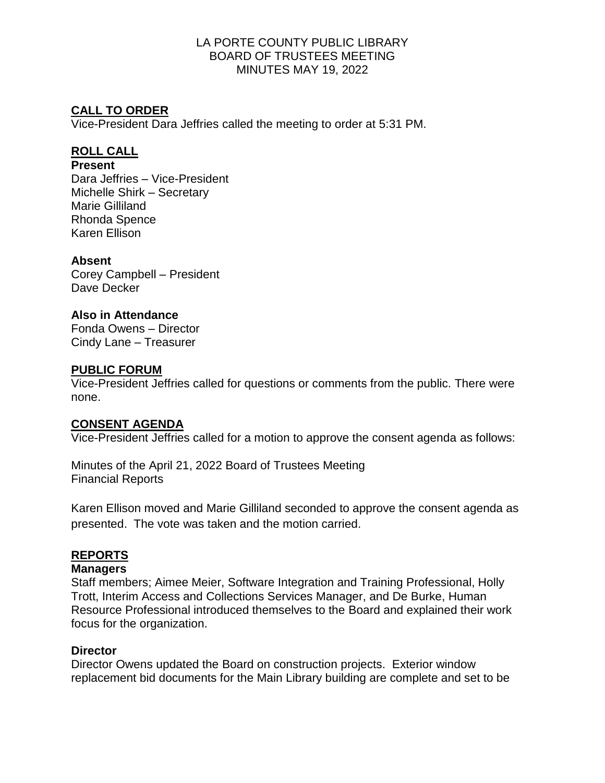## **CALL TO ORDER**

Vice-President Dara Jeffries called the meeting to order at 5:31 PM.

## **ROLL CALL**

#### **Present**

Dara Jeffries – Vice-President Michelle Shirk – Secretary Marie Gilliland Rhonda Spence Karen Ellison

## **Absent**

Corey Campbell – President Dave Decker

## **Also in Attendance**

Fonda Owens – Director Cindy Lane – Treasurer

## **PUBLIC FORUM**

Vice-President Jeffries called for questions or comments from the public. There were none.

### **CONSENT AGENDA**

Vice-President Jeffries called for a motion to approve the consent agenda as follows:

Minutes of the April 21, 2022 Board of Trustees Meeting Financial Reports

Karen Ellison moved and Marie Gilliland seconded to approve the consent agenda as presented. The vote was taken and the motion carried.

### **REPORTS**

### **Managers**

Staff members; Aimee Meier, Software Integration and Training Professional, Holly Trott, Interim Access and Collections Services Manager, and De Burke, Human Resource Professional introduced themselves to the Board and explained their work focus for the organization.

### **Director**

Director Owens updated the Board on construction projects. Exterior window replacement bid documents for the Main Library building are complete and set to be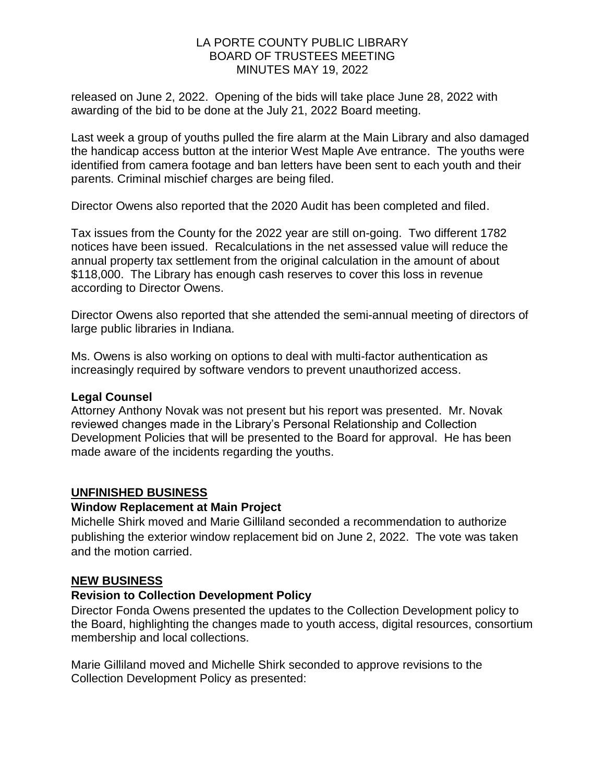released on June 2, 2022. Opening of the bids will take place June 28, 2022 with awarding of the bid to be done at the July 21, 2022 Board meeting.

Last week a group of youths pulled the fire alarm at the Main Library and also damaged the handicap access button at the interior West Maple Ave entrance. The youths were identified from camera footage and ban letters have been sent to each youth and their parents. Criminal mischief charges are being filed.

Director Owens also reported that the 2020 Audit has been completed and filed.

Tax issues from the County for the 2022 year are still on-going. Two different 1782 notices have been issued. Recalculations in the net assessed value will reduce the annual property tax settlement from the original calculation in the amount of about \$118,000. The Library has enough cash reserves to cover this loss in revenue according to Director Owens.

Director Owens also reported that she attended the semi-annual meeting of directors of large public libraries in Indiana.

Ms. Owens is also working on options to deal with multi-factor authentication as increasingly required by software vendors to prevent unauthorized access.

### **Legal Counsel**

Attorney Anthony Novak was not present but his report was presented. Mr. Novak reviewed changes made in the Library's Personal Relationship and Collection Development Policies that will be presented to the Board for approval. He has been made aware of the incidents regarding the youths.

### **UNFINISHED BUSINESS**

#### **Window Replacement at Main Project**

Michelle Shirk moved and Marie Gilliland seconded a recommendation to authorize publishing the exterior window replacement bid on June 2, 2022. The vote was taken and the motion carried.

#### **NEW BUSINESS**

### **Revision to Collection Development Policy**

Director Fonda Owens presented the updates to the Collection Development policy to the Board, highlighting the changes made to youth access, digital resources, consortium membership and local collections.

Marie Gilliland moved and Michelle Shirk seconded to approve revisions to the Collection Development Policy as presented: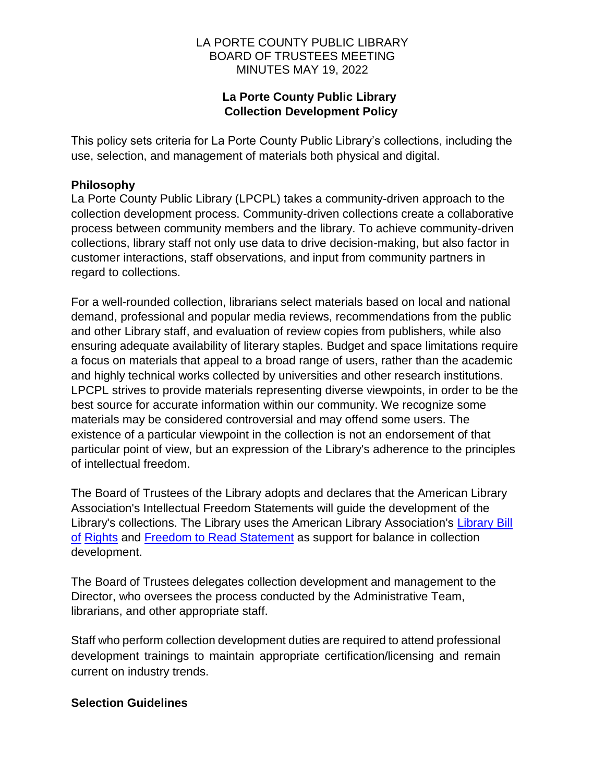## **La Porte County Public Library Collection Development Policy**

This policy sets criteria for La Porte County Public Library's collections, including the use, selection, and management of materials both physical and digital.

## **Philosophy**

La Porte County Public Library (LPCPL) takes a community-driven approach to the collection development process. Community-driven collections create a collaborative process between community members and the library. To achieve community-driven collections, library staff not only use data to drive decision-making, but also factor in customer interactions, staff observations, and input from community partners in regard to collections.

For a well-rounded collection, librarians select materials based on local and national demand, professional and popular media reviews, recommendations from the public and other Library staff, and evaluation of review copies from publishers, while also ensuring adequate availability of literary staples. Budget and space limitations require a focus on materials that appeal to a broad range of users, rather than the academic and highly technical works collected by universities and other research institutions. LPCPL strives to provide materials representing diverse viewpoints, in order to be the best source for accurate information within our community. We recognize some materials may be considered controversial and may offend some users. The existence of a particular viewpoint in the collection is not an endorsement of that particular point of view, but an expression of the Library's adherence to the principles of intellectual freedom.

The Board of Trustees of the Library adopts and declares that the American Library Association's Intellectual Freedom Statements will guide the development of the Library's collections. The Library uses the American Library Association's [Library Bill](http://www.ala.org/advocacy/intfreedom/librarybill)  [of](http://www.ala.org/advocacy/intfreedom/librarybill) [Rights](http://www.ala.org/advocacy/intfreedom/librarybill) and [Freedom to Read St](http://www.ala.org/advocacy/intfreedom/freedomreadstatement)atement as support for balance in collection development.

The Board of Trustees delegates collection development and management to the Director, who oversees the process conducted by the Administrative Team, librarians, and other appropriate staff.

Staff who perform collection development duties are required to attend professional development trainings to maintain appropriate certification/licensing and remain current on industry trends.

### **Selection Guidelines**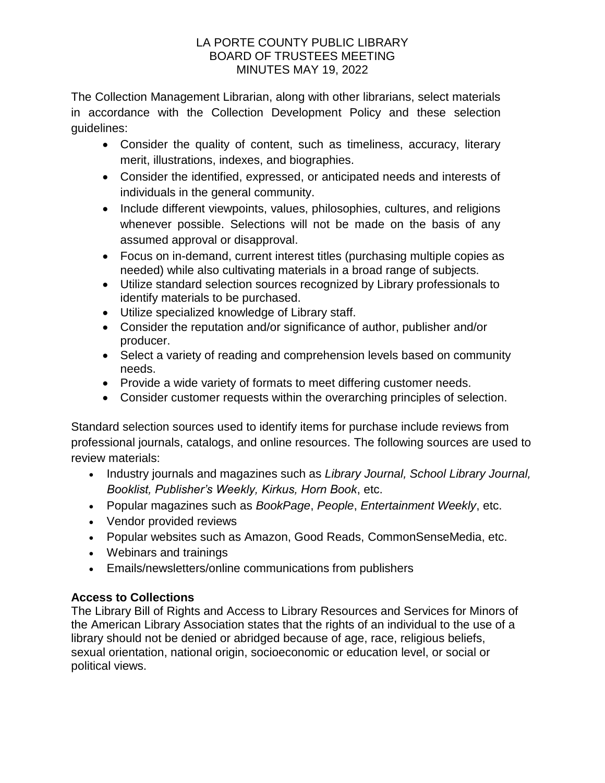The Collection Management Librarian, along with other librarians, select materials in accordance with the Collection Development Policy and these selection guidelines:

- Consider the quality of content, such as timeliness, accuracy, literary merit, illustrations, indexes, and biographies.
- Consider the identified, expressed, or anticipated needs and interests of individuals in the general community.
- Include different viewpoints, values, philosophies, cultures, and religions whenever possible. Selections will not be made on the basis of any assumed approval or disapproval.
- Focus on in-demand, current interest titles (purchasing multiple copies as needed) while also cultivating materials in a broad range of subjects.
- Utilize standard selection sources recognized by Library professionals to identify materials to be purchased.
- Utilize specialized knowledge of Library staff.
- Consider the reputation and/or significance of author, publisher and/or producer.
- Select a variety of reading and comprehension levels based on community needs.
- Provide a wide variety of formats to meet differing customer needs.
- Consider customer requests within the overarching principles of selection.

Standard selection sources used to identify items for purchase include reviews from professional journals, catalogs, and online resources. The following sources are used to review materials:

- Industry journals and magazines such as *Library Journal, School Library Journal, Booklist, Publisher's Weekly, Kirkus, Horn Book*, etc.
- Popular magazines such as *BookPage*, *People*, *Entertainment Weekly*, etc.
- Vendor provided reviews
- Popular websites such as Amazon, Good Reads, CommonSenseMedia, etc.
- Webinars and trainings
- Emails/newsletters/online communications from publishers

# **Access to Collections**

The Library Bill of Rights and Access to Library Resources and Services for Minors of the American Library Association states that the rights of an individual to the use of a library should not be denied or abridged because of age, race, religious beliefs, sexual orientation, national origin, socioeconomic or education level, or social or political views.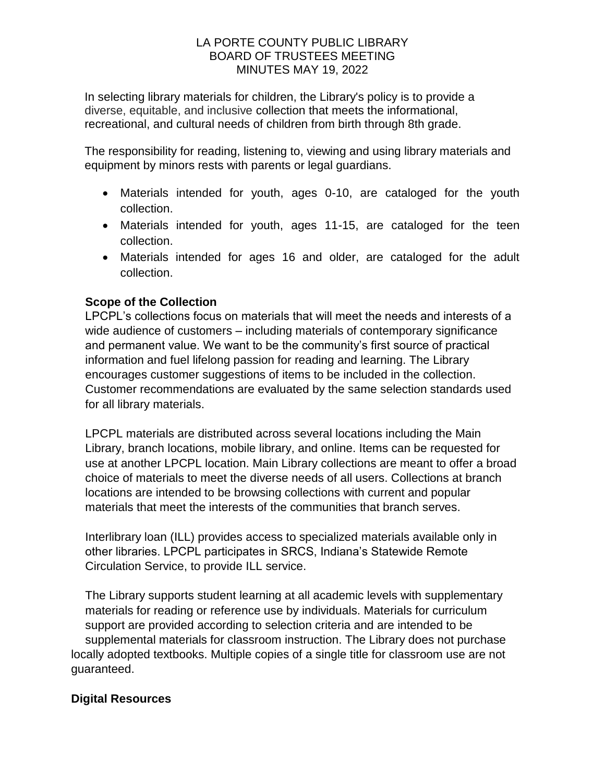In selecting library materials for children, the Library's policy is to provide a diverse, equitable, and inclusive collection that meets the informational, recreational, and cultural needs of children from birth through 8th grade.

The responsibility for reading, listening to, viewing and using library materials and equipment by minors rests with parents or legal guardians.

- Materials intended for youth, ages 0-10, are cataloged for the youth collection.
- Materials intended for youth, ages 11-15, are cataloged for the teen collection.
- Materials intended for ages 16 and older, are cataloged for the adult collection.

# **Scope of the Collection**

LPCPL's collections focus on materials that will meet the needs and interests of a wide audience of customers – including materials of contemporary significance and permanent value. We want to be the community's first source of practical information and fuel lifelong passion for reading and learning. The Library encourages customer suggestions of items to be included in the collection. Customer recommendations are evaluated by the same selection standards used for all library materials.

LPCPL materials are distributed across several locations including the Main Library, branch locations, mobile library, and online. Items can be requested for use at another LPCPL location. Main Library collections are meant to offer a broad choice of materials to meet the diverse needs of all users. Collections at branch locations are intended to be browsing collections with current and popular materials that meet the interests of the communities that branch serves.

Interlibrary loan (ILL) provides access to specialized materials available only in other libraries. LPCPL participates in SRCS, Indiana's Statewide Remote Circulation Service, to provide ILL service.

The Library supports student learning at all academic levels with supplementary materials for reading or reference use by individuals. Materials for curriculum support are provided according to selection criteria and are intended to be supplemental materials for classroom instruction. The Library does not purchase locally adopted textbooks. Multiple copies of a single title for classroom use are not guaranteed.

## **Digital Resources**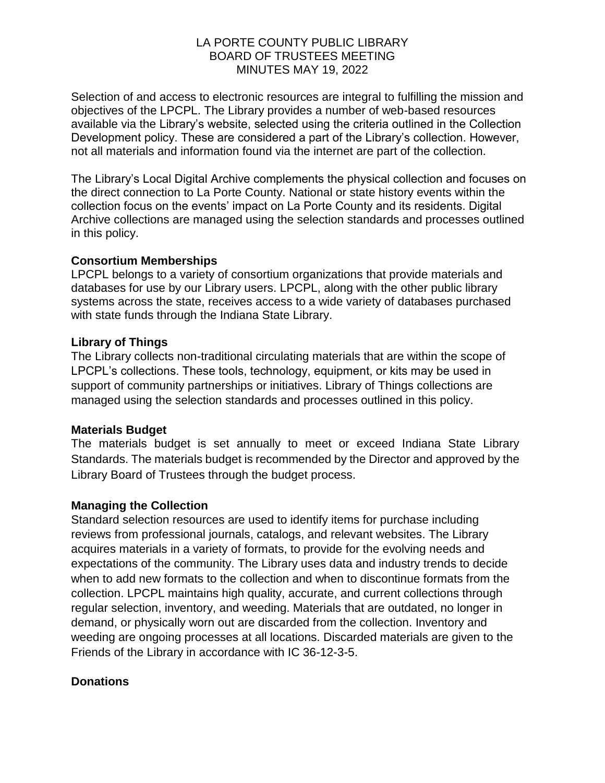Selection of and access to electronic resources are integral to fulfilling the mission and objectives of the LPCPL. The Library provides a number of web-based resources available via the Library's website, selected using the criteria outlined in the Collection Development policy. These are considered a part of the Library's collection. However, not all materials and information found via the internet are part of the collection.

The Library's Local Digital Archive complements the physical collection and focuses on the direct connection to La Porte County. National or state history events within the collection focus on the events' impact on La Porte County and its residents. Digital Archive collections are managed using the selection standards and processes outlined in this policy.

#### **Consortium Memberships**

LPCPL belongs to a variety of consortium organizations that provide materials and databases for use by our Library users. LPCPL, along with the other public library systems across the state, receives access to a wide variety of databases purchased with state funds through the Indiana State Library.

### **Library of Things**

The Library collects non-traditional circulating materials that are within the scope of LPCPL's collections. These tools, technology, equipment, or kits may be used in support of community partnerships or initiatives. Library of Things collections are managed using the selection standards and processes outlined in this policy.

### **Materials Budget**

The materials budget is set annually to meet or exceed Indiana State Library Standards. The materials budget is recommended by the Director and approved by the Library Board of Trustees through the budget process.

### **Managing the Collection**

Standard selection resources are used to identify items for purchase including reviews from professional journals, catalogs, and relevant websites. The Library acquires materials in a variety of formats, to provide for the evolving needs and expectations of the community. The Library uses data and industry trends to decide when to add new formats to the collection and when to discontinue formats from the collection. LPCPL maintains high quality, accurate, and current collections through regular selection, inventory, and weeding. Materials that are outdated, no longer in demand, or physically worn out are discarded from the collection. Inventory and weeding are ongoing processes at all locations. Discarded materials are given to the Friends of the Library in accordance with IC 36-12-3-5.

### **Donations**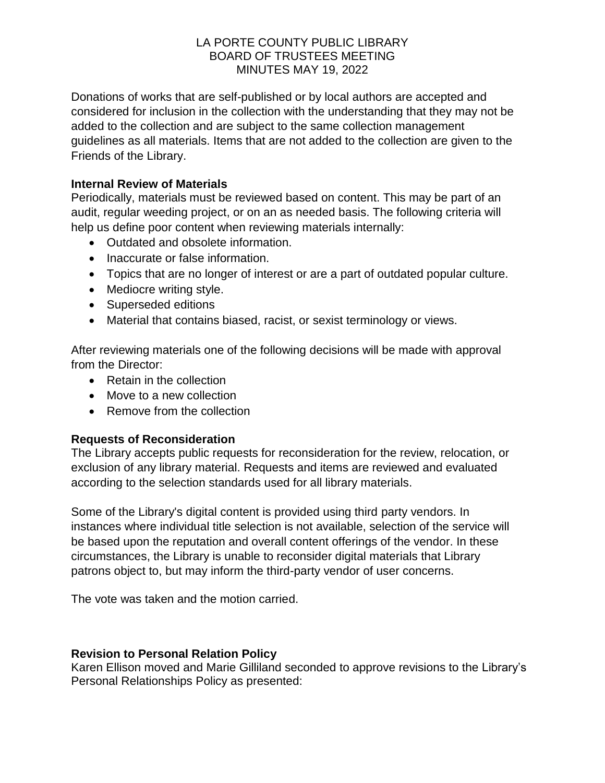Donations of works that are self-published or by local authors are accepted and considered for inclusion in the collection with the understanding that they may not be added to the collection and are subject to the same collection management guidelines as all materials. Items that are not added to the collection are given to the Friends of the Library.

## **Internal Review of Materials**

Periodically, materials must be reviewed based on content. This may be part of an audit, regular weeding project, or on an as needed basis. The following criteria will help us define poor content when reviewing materials internally:

- Outdated and obsolete information.
- Inaccurate or false information.
- Topics that are no longer of interest or are a part of outdated popular culture.
- Mediocre writing style.
- Superseded editions
- Material that contains biased, racist, or sexist terminology or views.

After reviewing materials one of the following decisions will be made with approval from the Director:

- Retain in the collection
- Move to a new collection
- Remove from the collection

### **Requests of Reconsideration**

The Library accepts public requests for reconsideration for the review, relocation, or exclusion of any library material. Requests and items are reviewed and evaluated according to the selection standards used for all library materials.

Some of the Library's digital content is provided using third party vendors. In instances where individual title selection is not available, selection of the service will be based upon the reputation and overall content offerings of the vendor. In these circumstances, the Library is unable to reconsider digital materials that Library patrons object to, but may inform the third-party vendor of user concerns.

The vote was taken and the motion carried.

### **Revision to Personal Relation Policy**

Karen Ellison moved and Marie Gilliland seconded to approve revisions to the Library's Personal Relationships Policy as presented: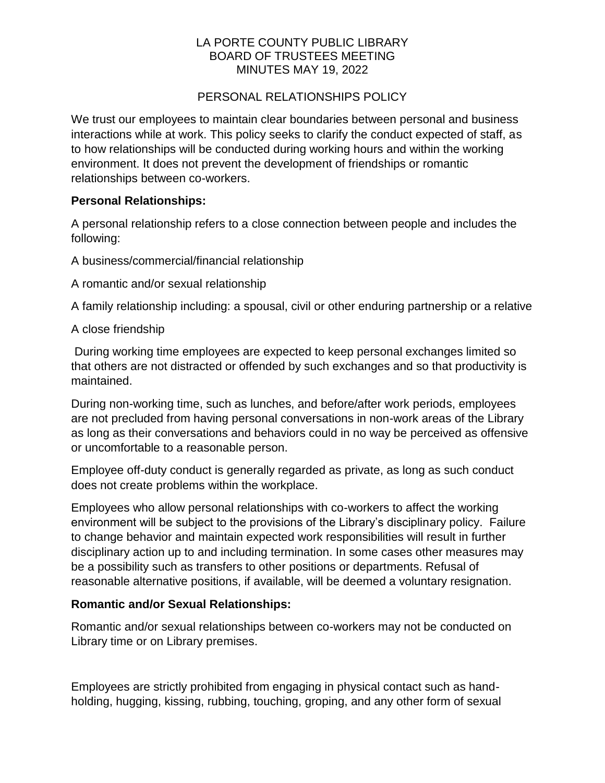## PERSONAL RELATIONSHIPS POLICY

We trust our employees to maintain clear boundaries between personal and business interactions while at work. This policy seeks to clarify the conduct expected of staff, as to how relationships will be conducted during working hours and within the working environment. It does not prevent the development of friendships or romantic relationships between co-workers.

## **Personal Relationships:**

A personal relationship refers to a close connection between people and includes the following:

A business/commercial/financial relationship

A romantic and/or sexual relationship

A family relationship including: a spousal, civil or other enduring partnership or a relative

A close friendship

During working time employees are expected to keep personal exchanges limited so that others are not distracted or offended by such exchanges and so that productivity is maintained.

During non-working time, such as lunches, and before/after work periods, employees are not precluded from having personal conversations in non-work areas of the Library as long as their conversations and behaviors could in no way be perceived as offensive or uncomfortable to a reasonable person.

Employee off-duty conduct is generally regarded as private, as long as such conduct does not create problems within the workplace.

Employees who allow personal relationships with co-workers to affect the working environment will be subject to the provisions of the Library's disciplinary policy. Failure to change behavior and maintain expected work responsibilities will result in further disciplinary action up to and including termination. In some cases other measures may be a possibility such as transfers to other positions or departments. Refusal of reasonable alternative positions, if available, will be deemed a voluntary resignation.

## **Romantic and/or Sexual Relationships:**

Romantic and/or sexual relationships between co-workers may not be conducted on Library time or on Library premises.

Employees are strictly prohibited from engaging in physical contact such as handholding, hugging, kissing, rubbing, touching, groping, and any other form of sexual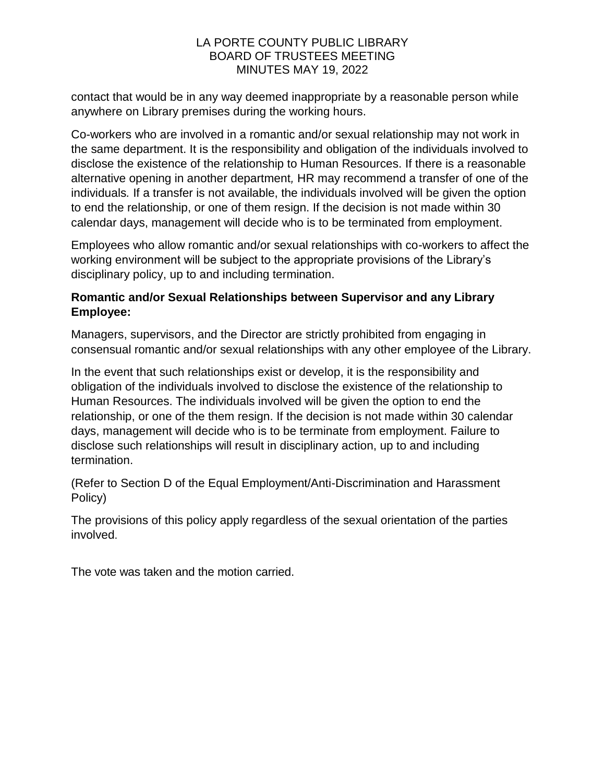contact that would be in any way deemed inappropriate by a reasonable person while anywhere on Library premises during the working hours.

Co-workers who are involved in a romantic and/or sexual relationship may not work in the same department. It is the responsibility and obligation of the individuals involved to disclose the existence of the relationship to Human Resources. If there is a reasonable alternative opening in another department*,* HR may recommend a transfer of one of the individuals*.* If a transfer is not available, the individuals involved will be given the option to end the relationship, or one of them resign. If the decision is not made within 30 calendar days, management will decide who is to be terminated from employment.

Employees who allow romantic and/or sexual relationships with co-workers to affect the working environment will be subject to the appropriate provisions of the Library's disciplinary policy, up to and including termination.

## **Romantic and/or Sexual Relationships between Supervisor and any Library Employee:**

Managers, supervisors, and the Director are strictly prohibited from engaging in consensual romantic and/or sexual relationships with any other employee of the Library.

In the event that such relationships exist or develop, it is the responsibility and obligation of the individuals involved to disclose the existence of the relationship to Human Resources. The individuals involved will be given the option to end the relationship, or one of the them resign. If the decision is not made within 30 calendar days, management will decide who is to be terminate from employment. Failure to disclose such relationships will result in disciplinary action, up to and including termination.

(Refer to Section D of the Equal Employment/Anti-Discrimination and Harassment Policy)

The provisions of this policy apply regardless of the sexual orientation of the parties involved.

The vote was taken and the motion carried.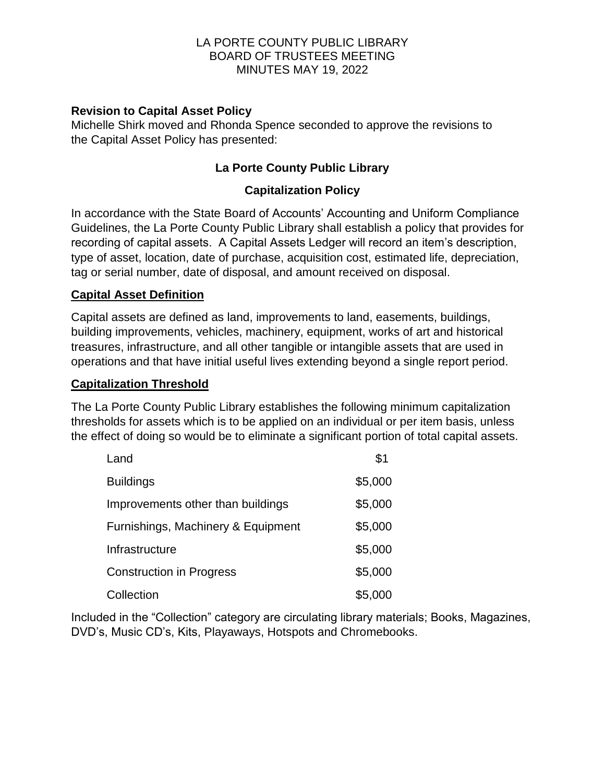## **Revision to Capital Asset Policy**

Michelle Shirk moved and Rhonda Spence seconded to approve the revisions to the Capital Asset Policy has presented:

# **La Porte County Public Library**

## **Capitalization Policy**

In accordance with the State Board of Accounts' Accounting and Uniform Compliance Guidelines, the La Porte County Public Library shall establish a policy that provides for recording of capital assets. A Capital Assets Ledger will record an item's description, type of asset, location, date of purchase, acquisition cost, estimated life, depreciation, tag or serial number, date of disposal, and amount received on disposal.

### **Capital Asset Definition**

Capital assets are defined as land, improvements to land, easements, buildings, building improvements, vehicles, machinery, equipment, works of art and historical treasures, infrastructure, and all other tangible or intangible assets that are used in operations and that have initial useful lives extending beyond a single report period.

### **Capitalization Threshold**

The La Porte County Public Library establishes the following minimum capitalization thresholds for assets which is to be applied on an individual or per item basis, unless the effect of doing so would be to eliminate a significant portion of total capital assets.

| Land                               | \$1     |
|------------------------------------|---------|
| <b>Buildings</b>                   | \$5,000 |
| Improvements other than buildings  | \$5,000 |
| Furnishings, Machinery & Equipment | \$5,000 |
| Infrastructure                     | \$5,000 |
| <b>Construction in Progress</b>    | \$5,000 |
| Collection                         | \$5,000 |

Included in the "Collection" category are circulating library materials; Books, Magazines, DVD's, Music CD's, Kits, Playaways, Hotspots and Chromebooks.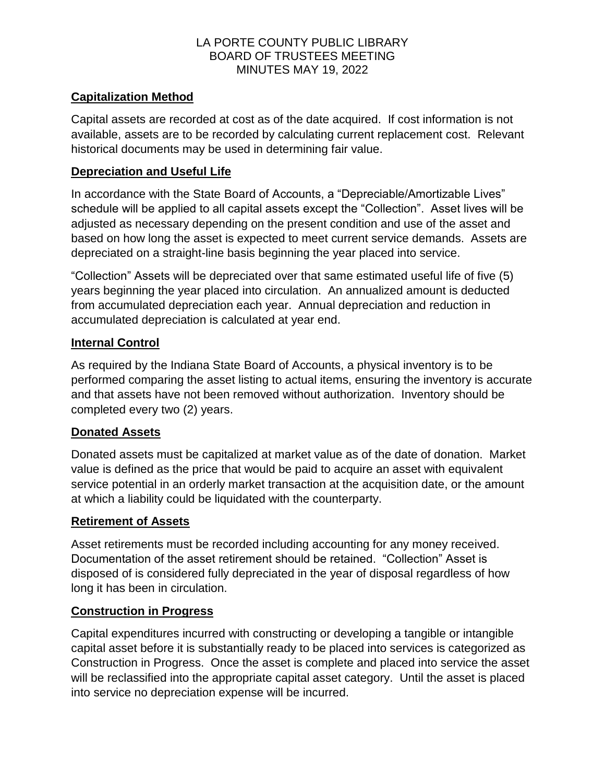## **Capitalization Method**

Capital assets are recorded at cost as of the date acquired. If cost information is not available, assets are to be recorded by calculating current replacement cost. Relevant historical documents may be used in determining fair value.

## **Depreciation and Useful Life**

In accordance with the State Board of Accounts, a "Depreciable/Amortizable Lives" schedule will be applied to all capital assets except the "Collection". Asset lives will be adjusted as necessary depending on the present condition and use of the asset and based on how long the asset is expected to meet current service demands. Assets are depreciated on a straight-line basis beginning the year placed into service.

"Collection" Assets will be depreciated over that same estimated useful life of five (5) years beginning the year placed into circulation. An annualized amount is deducted from accumulated depreciation each year. Annual depreciation and reduction in accumulated depreciation is calculated at year end.

## **Internal Control**

As required by the Indiana State Board of Accounts, a physical inventory is to be performed comparing the asset listing to actual items, ensuring the inventory is accurate and that assets have not been removed without authorization. Inventory should be completed every two (2) years.

## **Donated Assets**

Donated assets must be capitalized at market value as of the date of donation. Market value is defined as the price that would be paid to acquire an asset with equivalent service potential in an orderly market transaction at the acquisition date, or the amount at which a liability could be liquidated with the counterparty.

### **Retirement of Assets**

Asset retirements must be recorded including accounting for any money received. Documentation of the asset retirement should be retained. "Collection" Asset is disposed of is considered fully depreciated in the year of disposal regardless of how long it has been in circulation.

## **Construction in Progress**

Capital expenditures incurred with constructing or developing a tangible or intangible capital asset before it is substantially ready to be placed into services is categorized as Construction in Progress. Once the asset is complete and placed into service the asset will be reclassified into the appropriate capital asset category. Until the asset is placed into service no depreciation expense will be incurred.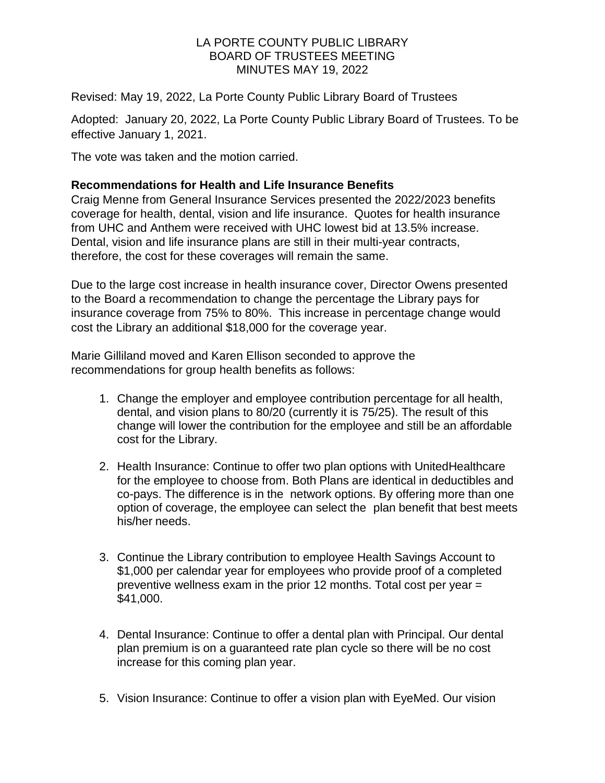Revised: May 19, 2022, La Porte County Public Library Board of Trustees

Adopted: January 20, 2022, La Porte County Public Library Board of Trustees. To be effective January 1, 2021.

The vote was taken and the motion carried.

### **Recommendations for Health and Life Insurance Benefits**

Craig Menne from General Insurance Services presented the 2022/2023 benefits coverage for health, dental, vision and life insurance. Quotes for health insurance from UHC and Anthem were received with UHC lowest bid at 13.5% increase. Dental, vision and life insurance plans are still in their multi-year contracts, therefore, the cost for these coverages will remain the same.

Due to the large cost increase in health insurance cover, Director Owens presented to the Board a recommendation to change the percentage the Library pays for insurance coverage from 75% to 80%. This increase in percentage change would cost the Library an additional \$18,000 for the coverage year.

Marie Gilliland moved and Karen Ellison seconded to approve the recommendations for group health benefits as follows:

- 1. Change the employer and employee contribution percentage for all health, dental, and vision plans to 80/20 (currently it is 75/25). The result of this change will lower the contribution for the employee and still be an affordable cost for the Library.
- 2. Health Insurance: Continue to offer two plan options with UnitedHealthcare for the employee to choose from. Both Plans are identical in deductibles and co-pays. The difference is in the network options. By offering more than one option of coverage, the employee can select the plan benefit that best meets his/her needs.
- 3. Continue the Library contribution to employee Health Savings Account to \$1,000 per calendar year for employees who provide proof of a completed preventive wellness exam in the prior 12 months. Total cost per year = \$41,000.
- 4. Dental Insurance: Continue to offer a dental plan with Principal. Our dental plan premium is on a guaranteed rate plan cycle so there will be no cost increase for this coming plan year.
- 5. Vision Insurance: Continue to offer a vision plan with EyeMed. Our vision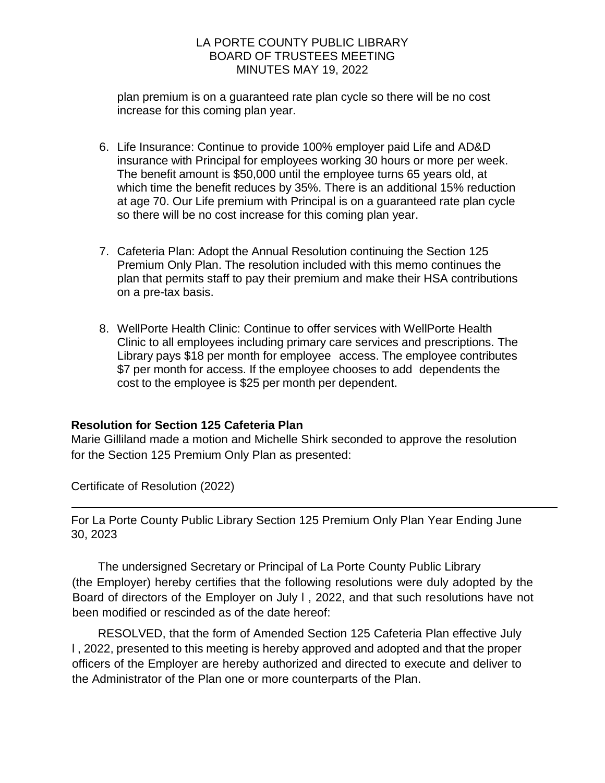plan premium is on a guaranteed rate plan cycle so there will be no cost increase for this coming plan year.

- 6. Life Insurance: Continue to provide 100% employer paid Life and AD&D insurance with Principal for employees working 30 hours or more per week. The benefit amount is \$50,000 until the employee turns 65 years old, at which time the benefit reduces by 35%. There is an additional 15% reduction at age 70. Our Life premium with Principal is on a guaranteed rate plan cycle so there will be no cost increase for this coming plan year.
- 7. Cafeteria Plan: Adopt the Annual Resolution continuing the Section 125 Premium Only Plan. The resolution included with this memo continues the plan that permits staff to pay their premium and make their HSA contributions on a pre-tax basis.
- 8. WellPorte Health Clinic: Continue to offer services with WellPorte Health Clinic to all employees including primary care services and prescriptions. The Library pays \$18 per month for employee access. The employee contributes \$7 per month for access. If the employee chooses to add dependents the cost to the employee is \$25 per month per dependent.

### **Resolution for Section 125 Cafeteria Plan**

Marie Gilliland made a motion and Michelle Shirk seconded to approve the resolution for the Section 125 Premium Only Plan as presented:

Certificate of Resolution (2022)

For La Porte County Public Library Section 125 Premium Only Plan Year Ending June 30, 2023

The undersigned Secretary or Principal of La Porte County Public Library (the Employer) hereby certifies that the following resolutions were duly adopted by the Board of directors of the Employer on July l , 2022, and that such resolutions have not been modified or rescinded as of the date hereof:

RESOLVED, that the form of Amended Section 125 Cafeteria Plan effective July l , 2022, presented to this meeting is hereby approved and adopted and that the proper officers of the Employer are hereby authorized and directed to execute and deliver to the Administrator of the Plan one or more counterparts of the Plan.